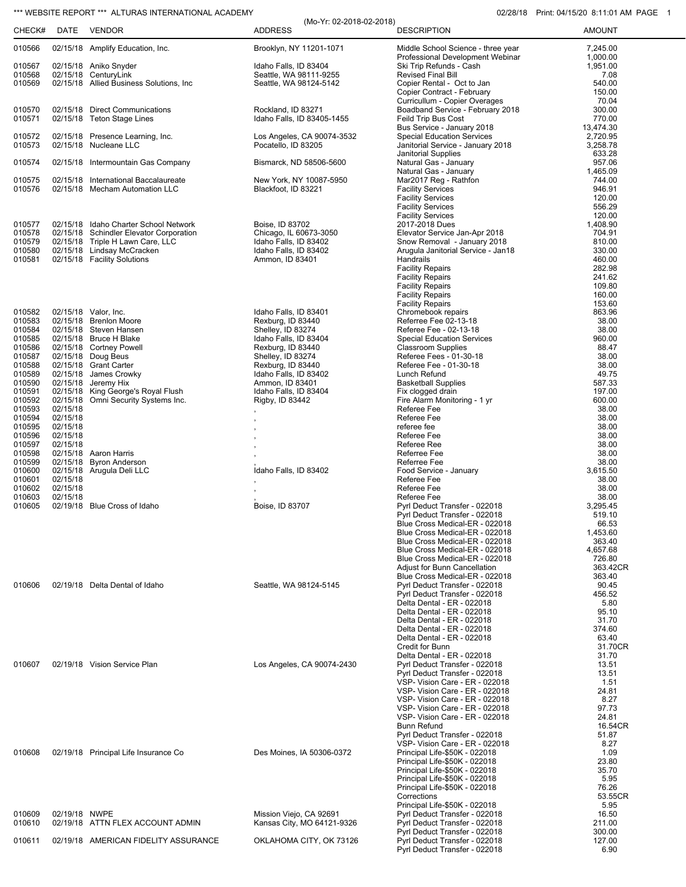## \*\*\* WEBSITE REPORT \*\*\* ALTURAS INTERNATIONAL ACADEMY 02/28/18 Print: 04/15/20 8:11:01 AM PAGE 1

|                  |                      |                                                                                  | (Mo-Yr: 02-2018-02-2018)                       |                                                                   |                      |
|------------------|----------------------|----------------------------------------------------------------------------------|------------------------------------------------|-------------------------------------------------------------------|----------------------|
| CHECK#           | DATE                 | VENDOR                                                                           | <b>ADDRESS</b>                                 | <b>DESCRIPTION</b>                                                | <b>AMOUNT</b>        |
| 010566           |                      | 02/15/18 Amplify Education, Inc.                                                 | Brooklyn, NY 11201-1071                        | Middle School Science - three year                                | 7,245.00             |
| 010567           |                      | 02/15/18 Aniko Snyder                                                            | Idaho Falls, ID 83404                          | Professional Development Webinar<br>Ski Trip Refunds - Cash       | 1,000.00<br>1,951.00 |
| 010568           |                      | 02/15/18 CenturyLink                                                             | Seattle, WA 98111-9255                         | Revised Final Bill                                                | 7.08                 |
| 010569           |                      | 02/15/18 Allied Business Solutions, Inc.                                         | Seattle, WA 98124-5142                         | Copier Rental - Oct to Jan                                        | 540.00               |
|                  |                      |                                                                                  |                                                | Copier Contract - February                                        | 150.00               |
| 010570           |                      | 02/15/18 Direct Communications                                                   | Rockland, ID 83271                             | Curricullum - Copier Overages<br>Boadband Service - February 2018 | 70.04<br>300.00      |
| 010571           |                      | 02/15/18 Teton Stage Lines                                                       | Idaho Falls, ID 83405-1455                     | Feild Trip Bus Cost                                               | 770.00               |
|                  |                      |                                                                                  |                                                | Bus Service - January 2018                                        | 13,474.30            |
| 010572           |                      | 02/15/18 Presence Learning, Inc.<br>02/15/18 Nucleane LLC                        | Los Angeles, CA 90074-3532                     | <b>Special Education Services</b>                                 | 2,720.95             |
| 010573           |                      |                                                                                  | Pocatello, ID 83205                            | Janitorial Service - January 2018<br>Janitorial Supplies          | 3,258.78<br>633.28   |
| 010574           |                      | 02/15/18 Intermountain Gas Company                                               | Bismarck, ND 58506-5600                        | Natural Gas - January                                             | 957.06               |
|                  |                      |                                                                                  |                                                | Natural Gas - January                                             | 1,465.09             |
| 010575<br>010576 |                      | 02/15/18 International Baccalaureate<br>02/15/18 Mecham Automation LLC           | New York, NY 10087-5950<br>Blackfoot, ID 83221 | Mar2017 Reg - Rathfon<br><b>Facility Services</b>                 | 744.00<br>946.91     |
|                  |                      |                                                                                  |                                                | <b>Facility Services</b>                                          | 120.00               |
|                  |                      |                                                                                  |                                                | <b>Facility Services</b>                                          | 556.29               |
|                  |                      |                                                                                  |                                                | <b>Facility Services</b>                                          | 120.00               |
| 010577<br>010578 |                      | 02/15/18 Idaho Charter School Network<br>02/15/18 Schindler Elevator Corporation | Boise, ID 83702<br>Chicago, IL 60673-3050      | 2017-2018 Dues<br>Elevator Service Jan-Apr 2018                   | 1,408.90<br>704.91   |
| 010579           |                      | 02/15/18 Triple H Lawn Care, LLC                                                 | Idaho Falls. ID 83402                          | Snow Removal - January 2018                                       | 810.00               |
| 010580           |                      | 02/15/18 Lindsay McCracken                                                       | Idaho Falls, ID 83402                          | Arugula Janitorial Service - Jan18                                | 330.00               |
| 010581           |                      | 02/15/18 Facility Solutions                                                      | Ammon, ID 83401                                | Handrails                                                         | 460.00               |
|                  |                      |                                                                                  |                                                | <b>Facility Repairs</b><br><b>Facility Repairs</b>                | 282.98<br>241.62     |
|                  |                      |                                                                                  |                                                | <b>Facility Repairs</b>                                           | 109.80               |
|                  |                      |                                                                                  |                                                | <b>Facility Repairs</b>                                           | 160.00               |
| 010582           |                      | 02/15/18 Valor, Inc.                                                             | Idaho Falls, ID 83401                          | <b>Facility Repairs</b><br>Chromebook repairs                     | 153.60<br>863.96     |
| 010583           |                      | 02/15/18 Brenlon Moore                                                           | Rexburg, ID 83440                              | Referree Fee 02-13-18                                             | 38.00                |
| 010584           |                      | 02/15/18 Steven Hansen                                                           | Shelley, ID 83274                              | Referee Fee - 02-13-18                                            | 38.00                |
| 010585           |                      | 02/15/18 Bruce H Blake                                                           | Idaho Falls, ID 83404                          | <b>Special Education Services</b>                                 | 960.00               |
| 010586<br>010587 |                      | 02/15/18 Cortney Powell<br>02/15/18 Doug Beus                                    | Rexburg, ID 83440<br>Shelley, ID 83274         | <b>Classroom Supplies</b><br>Referee Fees - 01-30-18              | 88.47<br>38.00       |
| 010588           |                      | 02/15/18 Grant Carter                                                            | Rexburg, ID 83440                              | Referee Fee - 01-30-18                                            | 38.00                |
| 010589           |                      | 02/15/18 James Crowky                                                            | Idaho Falls, ID 83402                          | Lunch Refund                                                      | 49.75                |
| 010590           |                      | 02/15/18 Jeremy Hix                                                              | Ammon, ID 83401                                | <b>Basketball Supplies</b>                                        | 587.33               |
| 010591<br>010592 |                      | 02/15/18 King George's Royal Flush<br>02/15/18 Omni Security Systems Inc.        | Idaho Falls, ID 83404<br>Rigby, ID 83442       | Fix clogged drain<br>Fire Alarm Monitoring - 1 yr                 | 197.00<br>600.00     |
| 010593           | 02/15/18             |                                                                                  |                                                | Referee Fee                                                       | 38.00                |
| 010594           | 02/15/18             |                                                                                  |                                                | Referee Fee                                                       | 38.00                |
| 010595           | 02/15/18             |                                                                                  |                                                | referee fee                                                       | 38.00                |
| 010596<br>010597 | 02/15/18<br>02/15/18 |                                                                                  |                                                | Referee Fee<br>Referee Ree                                        | 38.00<br>38.00       |
| 010598           |                      | 02/15/18 Aaron Harris                                                            |                                                | Referree Fee                                                      | 38.00                |
| 010599           |                      | 02/15/18 Byron Anderson                                                          |                                                | Referree Fee                                                      | 38.00                |
| 010600           |                      | 02/15/18 Arugula Deli LLC                                                        | Idaho Falls, ID 83402                          | Food Service - January<br>Referee Fee                             | 3,615.50<br>38.00    |
| 010601<br>010602 | 02/15/18<br>02/15/18 |                                                                                  |                                                | Referee Fee                                                       | 38.00                |
| 010603           | 02/15/18             |                                                                                  |                                                | Referee Fee                                                       | 38.00                |
| 010605           |                      | 02/19/18 Blue Cross of Idaho                                                     | Boise, ID 83707                                | Pyrl Deduct Transfer - 022018                                     | 3,295.45             |
|                  |                      |                                                                                  |                                                | Pyrl Deduct Transfer - 022018<br>Blue Cross Medical-ER - 022018   | 519.10<br>66.53      |
|                  |                      |                                                                                  |                                                | Blue Cross Medical-ER - 022018                                    | 1,453.60             |
|                  |                      |                                                                                  |                                                | Blue Cross Medical-ER - 022018                                    | 363.40               |
|                  |                      |                                                                                  |                                                | Blue Cross Medical-ER - 022018<br>Blue Cross Medical-ER - 022018  | 4,657.68<br>726.80   |
|                  |                      |                                                                                  |                                                | Adjust for Bunn Cancellation                                      | 363.42CR             |
|                  |                      |                                                                                  |                                                | Blue Cross Medical-ER - 022018                                    | 363.40               |
| 010606           |                      | 02/19/18 Delta Dental of Idaho                                                   | Seattle, WA 98124-5145                         | Pyrl Deduct Transfer - 022018                                     | 90.45                |
|                  |                      |                                                                                  |                                                | Pyrl Deduct Transfer - 022018<br>Delta Dental - ER - 022018       | 456.52<br>5.80       |
|                  |                      |                                                                                  |                                                | Delta Dental - ER - 022018                                        | 95.10                |
|                  |                      |                                                                                  |                                                | Delta Dental - ER - 022018                                        | 31.70                |
|                  |                      |                                                                                  |                                                | Delta Dental - ER - 022018<br>Delta Dental - ER - 022018          | 374.60<br>63.40      |
|                  |                      |                                                                                  |                                                | <b>Credit for Bunn</b>                                            | 31.70CR              |
|                  |                      |                                                                                  |                                                | Delta Dental - ER - 022018                                        | 31.70                |
| 010607           |                      | 02/19/18 Vision Service Plan                                                     | Los Angeles, CA 90074-2430                     | Pyrl Deduct Transfer - 022018                                     | 13.51                |
|                  |                      |                                                                                  |                                                | Pyrl Deduct Transfer - 022018<br>VSP- Vision Care - ER - 022018   | 13.51<br>1.51        |
|                  |                      |                                                                                  |                                                | VSP- Vision Care - ER - 022018                                    | 24.81                |
|                  |                      |                                                                                  |                                                | VSP- Vision Care - ER - 022018                                    | 8.27                 |
|                  |                      |                                                                                  |                                                | VSP- Vision Care - ER - 022018                                    | 97.73                |
|                  |                      |                                                                                  |                                                | VSP- Vision Care - ER - 022018<br><b>Bunn Refund</b>              | 24.81<br>16.54CR     |
|                  |                      |                                                                                  |                                                | Pyrl Deduct Transfer - 022018                                     | 51.87                |
|                  |                      |                                                                                  |                                                | VSP- Vision Care - ER - 022018                                    | 8.27                 |
| 010608           |                      | 02/19/18 Principal Life Insurance Co                                             | Des Moines, IA 50306-0372                      | Principal Life-\$50K - 022018                                     | 1.09<br>23.80        |
|                  |                      |                                                                                  |                                                | Principal Life-\$50K - 022018<br>Principal Life-\$50K - 022018    | 35.70                |
|                  |                      |                                                                                  |                                                | Principal Life-\$50K - 022018                                     | 5.95                 |
|                  |                      |                                                                                  |                                                | Principal Life-\$50K - 022018                                     | 76.26                |
|                  |                      |                                                                                  |                                                | Corrections                                                       | 53.55CR<br>5.95      |
| 010609           | 02/19/18 NWPE        |                                                                                  | Mission Viejo, CA 92691                        | Principal Life-\$50K - 022018<br>Pyrl Deduct Transfer - 022018    | 16.50                |
| 010610           |                      | 02/19/18 ATTN FLEX ACCOUNT ADMIN                                                 | Kansas City, MO 64121-9326                     | Pyrl Deduct Transfer - 022018                                     | 211.00               |
|                  |                      |                                                                                  |                                                | Pyrl Deduct Transfer - 022018                                     | 300.00               |
| 010611           |                      | 02/19/18 AMERICAN FIDELITY ASSURANCE                                             | OKLAHOMA CITY, OK 73126                        | Pyrl Deduct Transfer - 022018<br>Pyrl Deduct Transfer - 022018    | 127.00<br>6.90       |